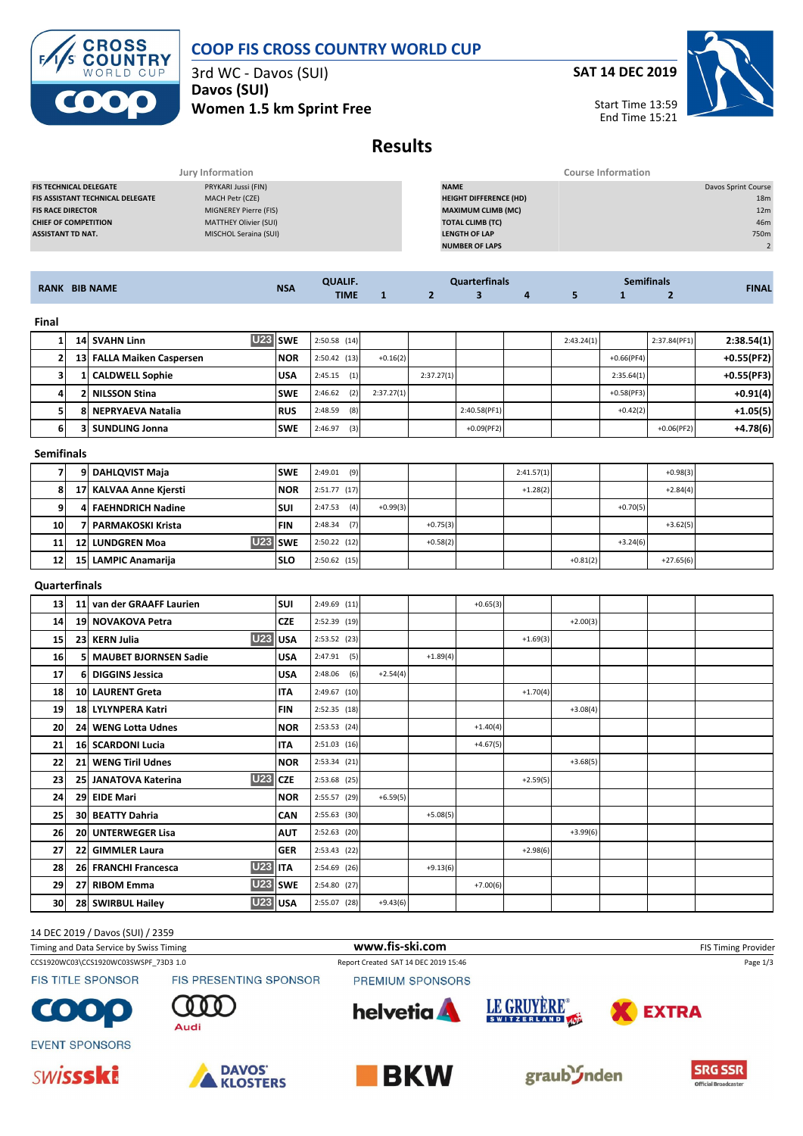



3rd WC - Davos (SUI) **Davos (SUI) Women 1.5 km Sprint Free** **SAT 14 DEC 2019**



Start Time 13:59 End Time 15:21

# **Results**

|                                         | Jury Information      | <b>Course Information</b>     |                     |
|-----------------------------------------|-----------------------|-------------------------------|---------------------|
| <b>FIS TECHNICAL DELEGATE</b>           | PRYKARI Jussi (FIN)   | <b>NAME</b>                   | Davos Sprint Course |
| <b>FIS ASSISTANT TECHNICAL DELEGATE</b> | MACH Petr (CZE)       | <b>HEIGHT DIFFERENCE (HD)</b> | 18 <sub>m</sub>     |
| <b>FIS RACE DIRECTOR</b>                | MIGNEREY Pierre (FIS) | <b>MAXIMUM CLIMB (MC)</b>     | 12 <sub>m</sub>     |
| <b>CHIEF OF COMPETITION</b>             | MATTHEY Olivier (SUI) | <b>TOTAL CLIMB (TC)</b>       | 46m                 |
| <b>ASSISTANT TD NAT.</b>                | MISCHOL Seraina (SUI) | <b>LENGTH OF LAP</b>          | 750m                |
|                                         |                       | <b>NUMBER OF LAPS</b>         |                     |
|                                         |                       |                               |                     |

|                                           |            | ALIF.       | finals                                                                                                                          |  |  |  |  | mitinals |  |              |
|-------------------------------------------|------------|-------------|---------------------------------------------------------------------------------------------------------------------------------|--|--|--|--|----------|--|--------------|
| <b>BIB NAME</b><br><b>RANK</b><br>_______ | <b>NSA</b> | <b>TIME</b> | $\mathcal{L}^{\text{max}}_{\text{max}}$ and $\mathcal{L}^{\text{max}}_{\text{max}}$ and $\mathcal{L}^{\text{max}}_{\text{max}}$ |  |  |  |  |          |  | <b>FINAI</b> |

**Final**

|    |   | <b>U23 SWE</b><br>14 SVAHN Linn |            | $2:50.58$ (14) |            |            |               | 2:43.24(1) |              | 2:37.84(PF1) | 2:38.54(1)   |
|----|---|---------------------------------|------------|----------------|------------|------------|---------------|------------|--------------|--------------|--------------|
|    |   | 13 FALLA Maiken Caspersen       | <b>NOR</b> | 2:50.42(13)    | $+0.16(2)$ |            |               |            | $+0.66(PF4)$ |              | $+0.55(PF2)$ |
|    |   | 1 CALDWELL Sophie               | <b>USA</b> | (1)<br>2:45.15 |            | 2:37.27(1) |               |            | 2:35.64(1)   |              | $+0.55(PF3)$ |
|    |   | l NILSSON Stina                 | <b>SWE</b> | (2)<br>2:46.62 | 2:37.27(1) |            |               |            | $+0.58(PF3)$ |              | $+0.91(4)$   |
|    | я | <b>NEPRYAEVA Natalia</b>        | <b>RUS</b> | 2:48.59<br>(8) |            |            | 2:40.58(PF1)  |            | $+0.42(2)$   |              | $+1.05(5)$   |
| 61 |   | <b>3 SUNDLING Jonna</b>         | <b>SWE</b> | (3)<br>2:46.97 |            |            | $+0.09$ (PF2) |            |              | $+0.06(PF2)$ | $+4.78(6)$   |

#### **Semifinals**

|    | 9 DAHLQVIST Maja       | <b>SWE</b> | (9)<br>2:49.01 |            |            | 2:41.57(1) |            |            | $+0.98(3)$  |  |
|----|------------------------|------------|----------------|------------|------------|------------|------------|------------|-------------|--|
| 8  | 17 KALVAA Anne Kjersti | <b>NOR</b> | 2:51.77(17)    |            |            | $+1.28(2)$ |            |            | $+2.84(4)$  |  |
| 9  | 4 FAEHNDRICH Nadine    | <b>SUI</b> | (4)<br>2:47.53 | $+0.99(3)$ |            |            |            | $+0.70(5)$ |             |  |
| 10 | 7   PARMAKOSKI Krista  | <b>FIN</b> | (7)<br>2:48.34 |            | $+0.75(3)$ |            |            |            | $+3.62(5)$  |  |
| 11 | <b>12 LUNDGREN Moa</b> | U23 SWE    | 2:50.22(12)    |            | $+0.58(2)$ |            |            | $+3.24(6)$ |             |  |
| 12 | 15 LAMPIC Anamarija    | <b>SLO</b> | 2:50.62(15)    |            |            |            | $+0.81(2)$ |            | $+27.65(6)$ |  |

### **Quarterfinals**

| 13        | 11 van der GRAAFF Laurien              | <b>SUI</b> | 2:49.69 (11)   |            |            | $+0.65(3)$ |            |            |  |  |
|-----------|----------------------------------------|------------|----------------|------------|------------|------------|------------|------------|--|--|
| 14        | 19 NOVAKOVA Petra                      | <b>CZE</b> | 2:52.39 (19)   |            |            |            |            | $+2.00(3)$ |  |  |
| 15        | <b>U23</b><br>23 KERN Julia            | ll USA     | 2:53.52 (23)   |            |            |            | $+1.69(3)$ |            |  |  |
| <b>16</b> | 5 MAUBET BJORNSEN Sadie                | <b>USA</b> | $2:47.91$ (5)  |            | $+1.89(4)$ |            |            |            |  |  |
| 17        | 6 DIGGINS Jessica                      | <b>USA</b> | $2:48.06$ (6)  | $+2.54(4)$ |            |            |            |            |  |  |
| <b>18</b> | 10 LAURENT Greta                       | <b>ITA</b> | 2:49.67 (10)   |            |            |            | $+1.70(4)$ |            |  |  |
| 19        | 18 LYLYNPERA Katri                     | <b>FIN</b> | 2:52.35 (18)   |            |            |            |            | $+3.08(4)$ |  |  |
| 20        | 24 WENG Lotta Udnes                    | <b>NOR</b> | 2:53.53(24)    |            |            | $+1.40(4)$ |            |            |  |  |
| 21        | 16 SCARDONI Lucia                      | <b>ITA</b> | 2:51.03(16)    |            |            | $+4.67(5)$ |            |            |  |  |
| 22        | 21 WENG Tiril Udnes                    | <b>NOR</b> | 2:53.34(21)    |            |            |            |            | $+3.68(5)$ |  |  |
| 23        | <b>U23 CZE</b><br>25 JANATOVA Katerina |            | 2:53.68 (25)   |            |            |            | $+2.59(5)$ |            |  |  |
| 24        | 29 EIDE Mari                           | <b>NOR</b> | 2:55.57 (29)   | $+6.59(5)$ |            |            |            |            |  |  |
| 25        | 30 BEATTY Dahria                       | <b>CAN</b> | $2:55.63$ (30) |            | $+5.08(5)$ |            |            |            |  |  |
| 26        | 20 UNTERWEGER Lisa                     | <b>AUT</b> | $2:52.63$ (20) |            |            |            |            | $+3.99(6)$ |  |  |
| 27        | 22 GIMMLER Laura                       | <b>GER</b> | $2:53.43$ (22) |            |            |            | $+2.98(6)$ |            |  |  |
| 28        | <b>U23 ITA</b><br>26 FRANCHI Francesca |            | 2:54.69 (26)   |            | $+9.13(6)$ |            |            |            |  |  |
| 29        | 27 RIBOM Emma                          | U23 SWE    | 2:54.80 (27)   |            |            | $+7.00(6)$ |            |            |  |  |
| 30        | U23 USA<br>28 SWIRBUL Hailey           |            | 2:55.07 (28)   | $+9.43(6)$ |            |            |            |            |  |  |

#### 14 DEC 2019 / Davos (SUI) / 2359

| Timing and Data Service by Swiss Timing |                                                  | www.fis-ski.com                      |             |              | <b>FIS Timing Provider</b> |
|-----------------------------------------|--------------------------------------------------|--------------------------------------|-------------|--------------|----------------------------|
| CCS1920WC03\CCS1920WC03SWSPF 73D3 1.0   |                                                  | Report Created SAT 14 DEC 2019 15:46 |             |              | Page 1/3                   |
| <b>FIS TITLE SPONSOR</b>                | <b>FIS PRESENTING SPONSOR</b>                    | PREMIUM SPONSORS                     |             |              |                            |
| COOO                                    | $\begin{array}{c} 0 & 0 & 0 \end{array}$<br>Audi | <b>helvetia</b>                      | LE GRUYÈRE® | <b>EXTRA</b> |                            |











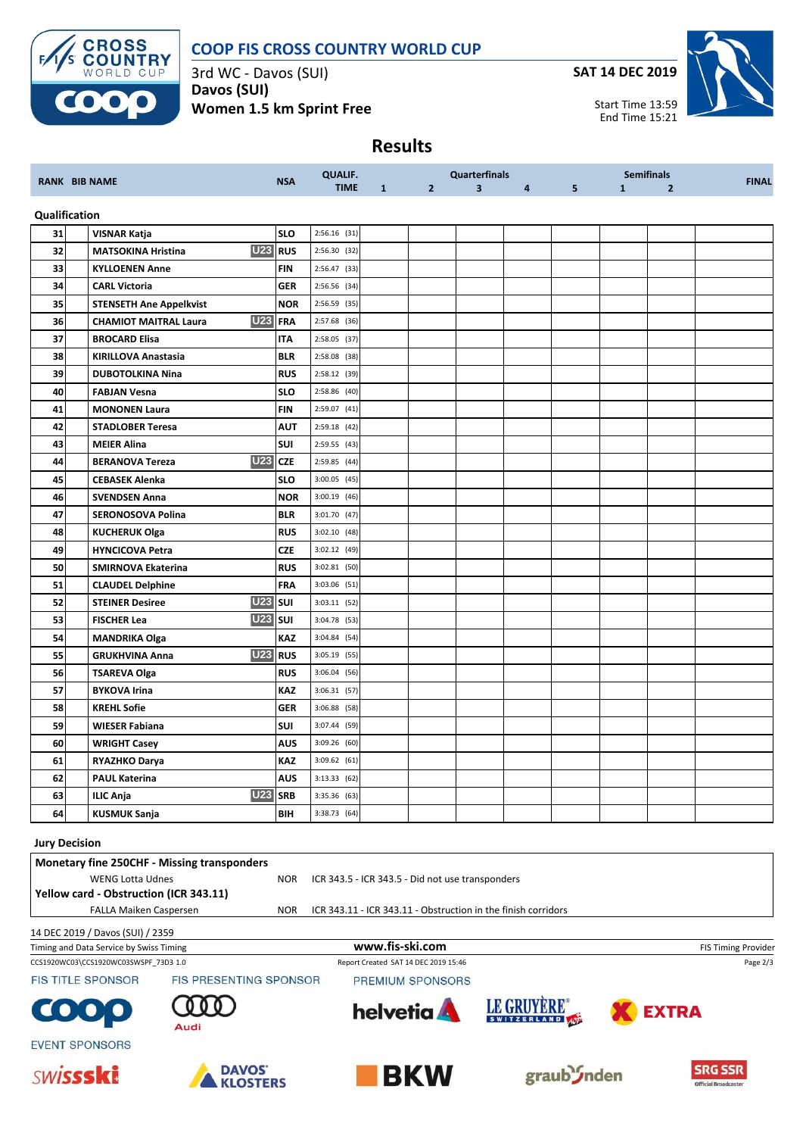

### **COOP FIS CROSS COUNTRY WORLD CUP**

3rd WC - Davos (SUI) **Davos (SUI) Women 1.5 km Sprint Free** **SAT 14 DEC 2019**



Start Time 13:59 End Time 15:21

## **Results**

|    | <b>RANK BIB NAME</b>                                                                                                                            | <b>NSA</b>     | <b>QUALIF.</b>                                                |                 |                                      | <b>Quarterfinals</b> |                |                |              | <b>Semifinals</b> | <b>FINAL</b>        |
|----|-------------------------------------------------------------------------------------------------------------------------------------------------|----------------|---------------------------------------------------------------|-----------------|--------------------------------------|----------------------|----------------|----------------|--------------|-------------------|---------------------|
|    |                                                                                                                                                 |                | <b>TIME</b>                                                   | $\mathbf{1}$    | $\mathbf{2}$                         | 3                    | $\overline{4}$ | 5 <sub>1</sub> | $\mathbf{1}$ | $\overline{2}$    |                     |
|    | Qualification                                                                                                                                   |                |                                                               |                 |                                      |                      |                |                |              |                   |                     |
| 31 | <b>VISNAR Katja</b>                                                                                                                             | <b>SLO</b>     | $2:56.16$ (31)                                                |                 |                                      |                      |                |                |              |                   |                     |
| 32 | <b>MATSOKINA Hristina</b>                                                                                                                       | <b>U23</b> RUS | 2:56.30 (32)                                                  |                 |                                      |                      |                |                |              |                   |                     |
| 33 | <b>KYLLOENEN Anne</b>                                                                                                                           | <b>FIN</b>     | 2:56.47 (33)                                                  |                 |                                      |                      |                |                |              |                   |                     |
| 34 | <b>CARL Victoria</b>                                                                                                                            | <b>GER</b>     | 2:56.56 (34)                                                  |                 |                                      |                      |                |                |              |                   |                     |
| 35 | <b>STENSETH Ane Appelkvist</b>                                                                                                                  | <b>NOR</b>     | 2:56.59 (35)                                                  |                 |                                      |                      |                |                |              |                   |                     |
| 36 | <b>U23</b><br><b>CHAMIOT MAITRAL Laura</b>                                                                                                      | <b>FRA</b>     | 2:57.68 (36)                                                  |                 |                                      |                      |                |                |              |                   |                     |
| 37 | <b>BROCARD Elisa</b>                                                                                                                            | <b>ITA</b>     | 2:58.05 (37)                                                  |                 |                                      |                      |                |                |              |                   |                     |
| 38 | <b>KIRILLOVA Anastasia</b>                                                                                                                      | <b>BLR</b>     | $2:58.08$ (38)                                                |                 |                                      |                      |                |                |              |                   |                     |
| 39 | <b>DUBOTOLKINA Nina</b>                                                                                                                         | <b>RUS</b>     | 2:58.12 (39)                                                  |                 |                                      |                      |                |                |              |                   |                     |
| 40 | <b>FABJAN Vesna</b>                                                                                                                             | <b>SLO</b>     | 2:58.86 (40)                                                  |                 |                                      |                      |                |                |              |                   |                     |
| 41 | <b>MONONEN Laura</b>                                                                                                                            | <b>FIN</b>     | 2:59.07 (41)                                                  |                 |                                      |                      |                |                |              |                   |                     |
| 42 | <b>STADLOBER Teresa</b>                                                                                                                         | AUT            | 2:59.18 (42)                                                  |                 |                                      |                      |                |                |              |                   |                     |
| 43 | <b>MEIER Alina</b>                                                                                                                              | SUI            | 2:59.55 (43)                                                  |                 |                                      |                      |                |                |              |                   |                     |
| 44 | <b>U23</b><br><b>BERANOVA Tereza</b>                                                                                                            | <b>CZE</b>     | 2:59.85 (44)                                                  |                 |                                      |                      |                |                |              |                   |                     |
| 45 | <b>CEBASEK Alenka</b>                                                                                                                           | <b>SLO</b>     | $3:00.05$ (45)                                                |                 |                                      |                      |                |                |              |                   |                     |
| 46 | <b>SVENDSEN Anna</b>                                                                                                                            | <b>NOR</b>     | $3:00.19$ (46)                                                |                 |                                      |                      |                |                |              |                   |                     |
| 47 | SERONOSOVA Polina                                                                                                                               | <b>BLR</b>     | 3:01.70 (47)                                                  |                 |                                      |                      |                |                |              |                   |                     |
| 48 | <b>KUCHERUK Olga</b>                                                                                                                            | <b>RUS</b>     | 3:02.10 (48)                                                  |                 |                                      |                      |                |                |              |                   |                     |
| 49 | <b>HYNCICOVA Petra</b>                                                                                                                          | <b>CZE</b>     | 3:02.12 (49)                                                  |                 |                                      |                      |                |                |              |                   |                     |
| 50 | SMIRNOVA Ekaterina                                                                                                                              | <b>RUS</b>     | 3:02.81 (50)                                                  |                 |                                      |                      |                |                |              |                   |                     |
| 51 | <b>CLAUDEL Delphine</b>                                                                                                                         | FRA            | 3:03.06 (51)                                                  |                 |                                      |                      |                |                |              |                   |                     |
| 52 | <b>STEINER Desiree</b>                                                                                                                          | <b>U23</b> SUI | $3:03.11$ (52)                                                |                 |                                      |                      |                |                |              |                   |                     |
| 53 | <b>FISCHER Lea</b>                                                                                                                              | <b>U23</b> SUI | 3:04.78 (53)                                                  |                 |                                      |                      |                |                |              |                   |                     |
| 54 | <b>MANDRIKA Olga</b>                                                                                                                            | <b>KAZ</b>     | 3:04.84 (54)                                                  |                 |                                      |                      |                |                |              |                   |                     |
| 55 | <b>GRUKHVINA Anna</b>                                                                                                                           | <b>U23</b> RUS | $3:05.19$ (55)                                                |                 |                                      |                      |                |                |              |                   |                     |
| 56 | <b>TSAREVA Olga</b>                                                                                                                             | <b>RUS</b>     | $3:06.04$ (56)                                                |                 |                                      |                      |                |                |              |                   |                     |
| 57 | <b>BYKOVA Irina</b>                                                                                                                             | <b>KAZ</b>     | 3:06.31(57)                                                   |                 |                                      |                      |                |                |              |                   |                     |
| 58 | <b>KREHL Sofie</b>                                                                                                                              | <b>GER</b>     | 3:06.88 (58)                                                  |                 |                                      |                      |                |                |              |                   |                     |
| 59 | WIESER Fabiana                                                                                                                                  | SUI            | 3:07.44 (59)                                                  |                 |                                      |                      |                |                |              |                   |                     |
| 60 | <b>WRIGHT Casey</b>                                                                                                                             | AUS            | 3:09.26 (60)                                                  |                 |                                      |                      |                |                |              |                   |                     |
| 61 | RYAZHKO Darya                                                                                                                                   | KAZ            | 3:09.62 (61)                                                  |                 |                                      |                      |                |                |              |                   |                     |
| 62 | <b>PAUL Katerina</b>                                                                                                                            | <b>AUS</b>     | 3:13.33(62)                                                   |                 |                                      |                      |                |                |              |                   |                     |
| 63 | <b>ILIC Anja</b>                                                                                                                                | <b>U23</b> SRB | 3:35.36 (63)                                                  |                 |                                      |                      |                |                |              |                   |                     |
| 64 | <b>KUSMUK Sanja</b>                                                                                                                             | BIH            | 3:38.73 (64)                                                  |                 |                                      |                      |                |                |              |                   |                     |
|    | <b>Jury Decision</b><br><b>Monetary fine 250CHF - Missing transponders</b><br><b>WENG Lotta Udnes</b><br>Yellow card - Obstruction (ICR 343.11) | <b>NOR</b>     | ICR 343.5 - ICR 343.5 - Did not use transponders              |                 |                                      |                      |                |                |              |                   |                     |
|    | FALLA Maiken Caspersen                                                                                                                          | <b>NOR</b>     | ICR 343.11 - ICR 343.11 - Obstruction in the finish corridors |                 |                                      |                      |                |                |              |                   |                     |
|    |                                                                                                                                                 |                |                                                               |                 |                                      |                      |                |                |              |                   |                     |
|    | 14 DEC 2019 / Davos (SUI) / 2359<br>Timing and Data Service by Swiss Timing                                                                     |                |                                                               | www.fis-ski.com |                                      |                      |                |                |              |                   | FIS Timing Provider |
|    | CCS1920WC03\CCS1920WC03SWSPF_73D3 1.0                                                                                                           |                |                                                               |                 | Report Created SAT 14 DEC 2019 15:46 |                      |                |                |              |                   | Page 2/3            |
|    |                                                                                                                                                 |                |                                                               |                 |                                      |                      |                |                |              |                   |                     |
|    | <b>FIS TITLE SPONSOR</b><br>FIS PRESENTING SPONSOR                                                                                              |                |                                                               |                 | PREMIUM SPONSORS                     |                      |                |                |              |                   |                     |





**EVENT SPONSORS SWISSSKi**